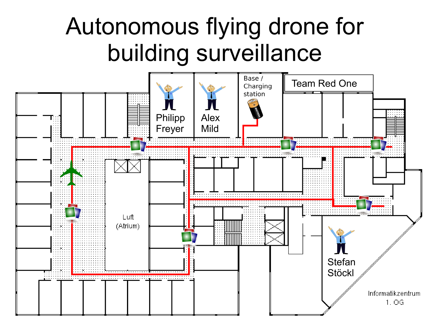### Autonomous flying drone for building surveillance

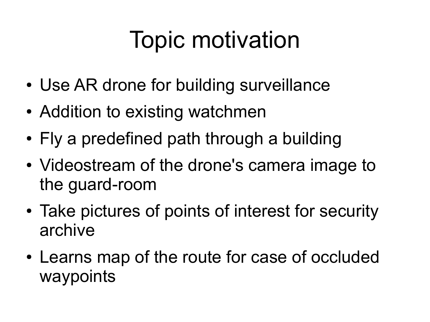### Topic motivation

- Use AR drone for building surveillance
- Addition to existing watchmen
- Fly a predefined path through a building
- Videostream of the drone's camera image to the guard-room
- Take pictures of points of interest for security archive
- Learns map of the route for case of occluded waypoints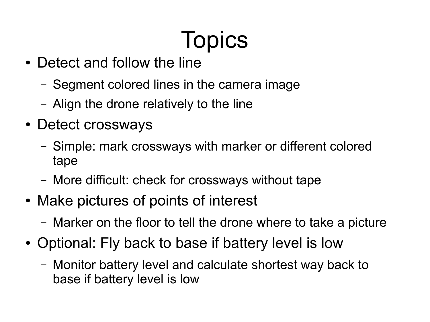# **Topics**

- Detect and follow the line
	- Segment colored lines in the camera image
	- Align the drone relatively to the line
- Detect crossways
	- Simple: mark crossways with marker or different colored tape
	- More difficult: check for crossways without tape
- Make pictures of points of interest
	- Marker on the floor to tell the drone where to take a picture
- Optional: Fly back to base if battery level is low
	- Monitor battery level and calculate shortest way back to base if battery level is low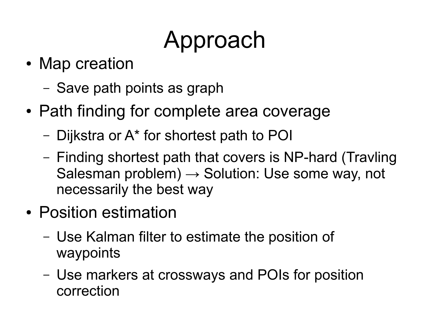# Approach

- Map creation
	- Save path points as graph
- Path finding for complete area coverage
	- Dijkstra or A\* for shortest path to POI
	- Finding shortest path that covers is NP-hard (Travling Salesman problem)  $\rightarrow$  Solution: Use some way, not necessarily the best way
- Position estimation
	- Use Kalman filter to estimate the position of waypoints
	- Use markers at crossways and POIs for position correction